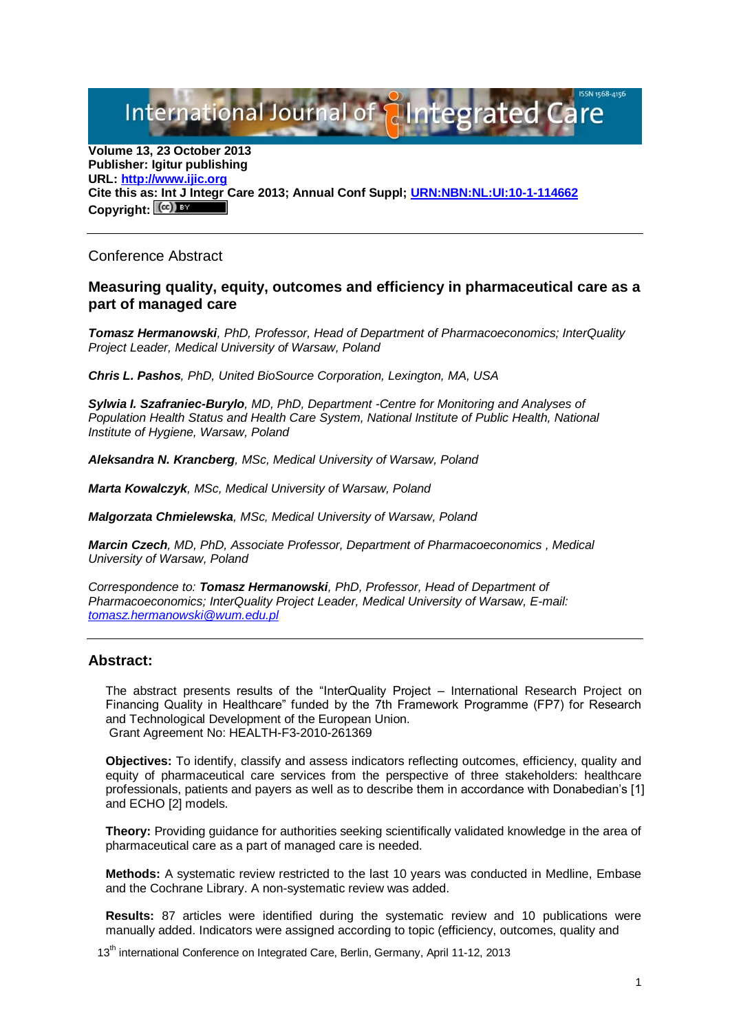International Journal of **Plntegrated** 

**Volume 13, 23 October 2013 Publisher: Igitur publishing URL[: http://www.ijic.org](http://www.ijic.org/) Cite this as: Int J Integr Care 2013; Annual Conf Suppl; [URN:NBN:NL:UI:10-1-114662](http://persistent-identifier.nl/?identifier=URN:NBN:NL:UI:10-1-114662)** Copyright:  $(cc)$ 

# Conference Abstract

### **Measuring quality, equity, outcomes and efficiency in pharmaceutical care as a part of managed care**

*Tomasz Hermanowski, PhD, Professor, Head of Department of Pharmacoeconomics; InterQuality Project Leader, Medical University of Warsaw, Poland*

*Chris L. Pashos, PhD, United BioSource Corporation, Lexington, MA, USA*

*Sylwia I. Szafraniec-Burylo, MD, PhD, Department -Centre for Monitoring and Analyses of Population Health Status and Health Care System, National Institute of Public Health, National Institute of Hygiene, Warsaw, Poland*

*Aleksandra N. Krancberg, MSc, Medical University of Warsaw, Poland*

*Marta Kowalczyk, MSc, Medical University of Warsaw, Poland*

*Malgorzata Chmielewska, MSc, Medical University of Warsaw, Poland*

*Marcin Czech, MD, PhD, Associate Professor, Department of Pharmacoeconomics , Medical University of Warsaw, Poland*

*Correspondence to: Tomasz Hermanowski, PhD, Professor, Head of Department of Pharmacoeconomics; InterQuality Project Leader, Medical University of Warsaw, E-mail: [tomasz.hermanowski@wum.edu.pl](mailto:tomasz.hermanowski@wum.edu.pl)*

# **Abstract:**

The abstract presents results of the "InterQuality Project – International Research Project on Financing Quality in Healthcare" funded by the 7th Framework Programme (FP7) for Research and Technological Development of the European Union. Grant Agreement No: HEALTH-F3-2010-261369

**Objectives:** To identify, classify and assess indicators reflecting outcomes, efficiency, quality and equity of pharmaceutical care services from the perspective of three stakeholders: healthcare professionals, patients and payers as well as to describe them in accordance with Donabedian's [1] and ECHO [2] models.

**Theory:** Providing guidance for authorities seeking scientifically validated knowledge in the area of pharmaceutical care as a part of managed care is needed.

**Methods:** A systematic review restricted to the last 10 years was conducted in Medline, Embase and the Cochrane Library. A non-systematic review was added.

**Results:** 87 articles were identified during the systematic review and 10 publications were manually added. Indicators were assigned according to topic (efficiency, outcomes, quality and

13<sup>th</sup> international Conference on Integrated Care, Berlin, Germany, April 11-12, 2013